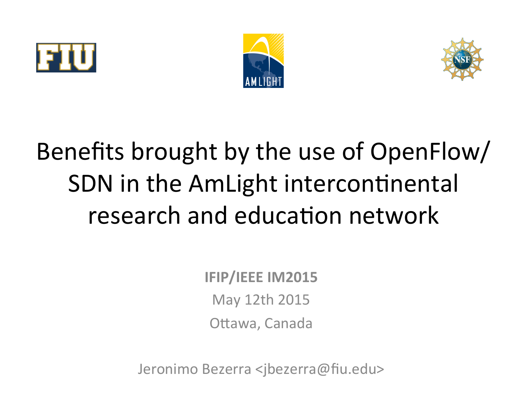





# Benefits brought by the use of OpenFlow/ SDN in the AmLight intercontinental research and education network

**IFIP/IEEE IM2015** May 12th 2015 Ottawa, Canada

Jeronimo Bezerra <jbezerra@fiu.edu>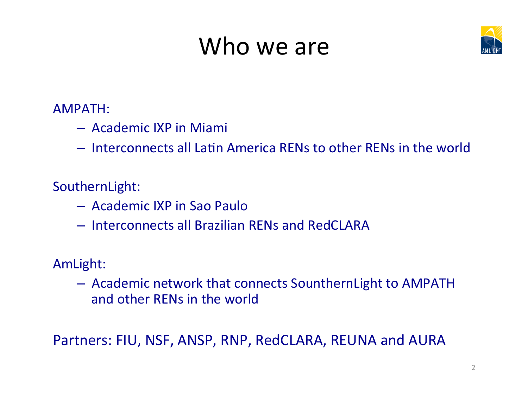### Who we are



AMPATH: 

- $-$  Academic IXP in Miami
- $-$  Interconnects all Latin America RENs to other RENs in the world

SouthernLight: 

- Academic IXP in Sao Paulo
- Interconnects all Brazilian RENs and RedCLARA

AmLight: 

 $-$  Academic network that connects SounthernLight to AMPATH and other RENs in the world

Partners: FIU, NSF, ANSP, RNP, RedCLARA, REUNA and AURA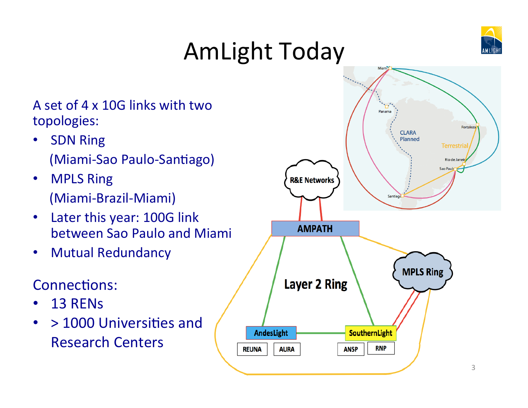

# AmLight Today

A set of 4 x 10G links with two topologies: 

- SDN Ring (Miami-Sao Paulo-Santiago)
- MPLS Ring (Miami-Brazil-Miami)
- Later this year: 100G link between Sao Paulo and Miami
- Mutual Redundancy

#### Connections:

- 13 RENs
- $\cdot$  > 1000 Universities and Research Centers

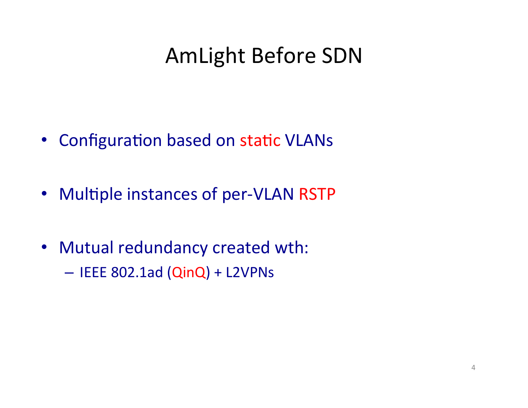#### AmLight Before SDN

- Configuration based on static VLANs
- Multiple instances of per-VLAN RSTP
- Mutual redundancy created wth:
	- $-$  IEEE 802.1ad (QinQ) + L2VPNs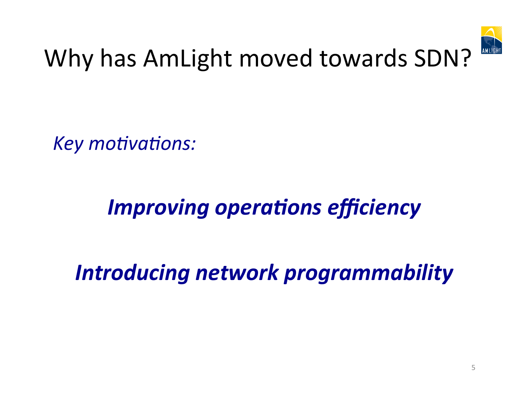

## Why has AmLight moved towards SDN?

Key motivations:

### *Improving operations efficiency*

*Introducing network programmability*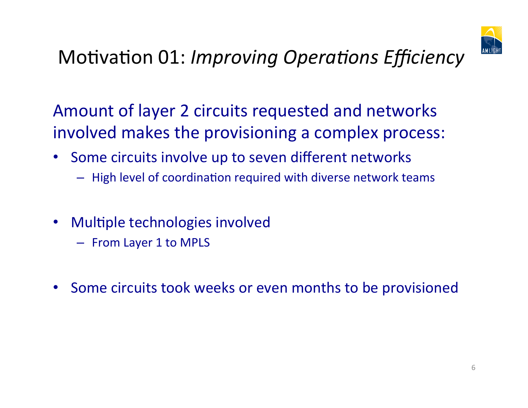

#### Motivation 01: *Improving Operations Efficiency*

Amount of layer 2 circuits requested and networks involved makes the provisioning a complex process:

- Some circuits involve up to seven different networks
	- $-$  High level of coordination required with diverse network teams
- Multiple technologies involved
	- From Layer 1 to MPLS
- Some circuits took weeks or even months to be provisioned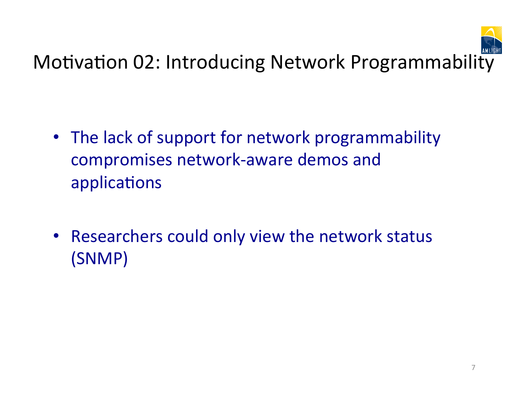

- The lack of support for network programmability compromises network-aware demos and applications
- Researchers could only view the network status (SNMP)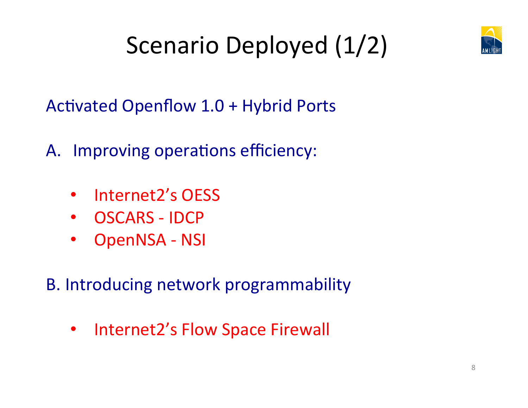

# Scenario Deployed (1/2)

Activated Openflow 1.0 + Hybrid Ports

- A. Improving operations efficiency:
	- Internet2's OESS
	- OSCARS IDCP
	- OpenNSA NSI

B. Introducing network programmability

• Internet2's Flow Space Firewall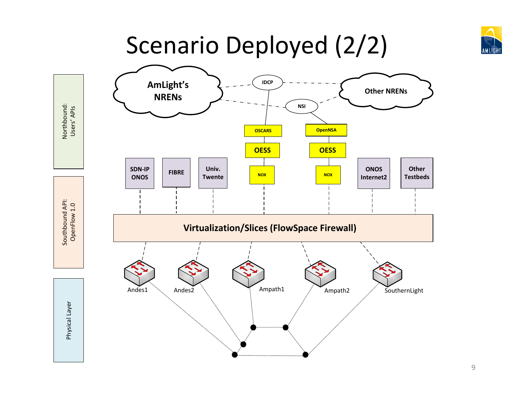

### Scenario Deployed (2/2)



9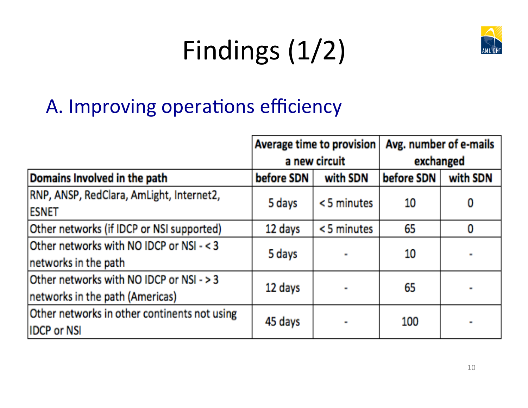# Findings (1/2)



#### A. Improving operations efficiency

|                                                                             | Average time to provision<br>a new circuit |            | Avg. number of e-mails<br>exchanged |          |
|-----------------------------------------------------------------------------|--------------------------------------------|------------|-------------------------------------|----------|
| Domains Involved in the path                                                | before SDN                                 | with SDN   | before SDN                          | with SDN |
| RNP, ANSP, RedClara, AmLight, Internet2,<br><b>ESNET</b>                    | 5 days                                     | <5 minutes | 10                                  |          |
| Other networks (if IDCP or NSI supported)                                   | 12 days                                    | <5 minutes | 65                                  | 0        |
| Other networks with NO IDCP or NSI - < 3<br>networks in the path            | 5 days                                     |            | 10                                  |          |
| Other networks with NO IDCP or NSI - > 3<br>networks in the path (Americas) | 12 days                                    |            | 65                                  |          |
| Other networks in other continents not using<br><b>IDCP or NSI</b>          | 45 days                                    |            | 100                                 |          |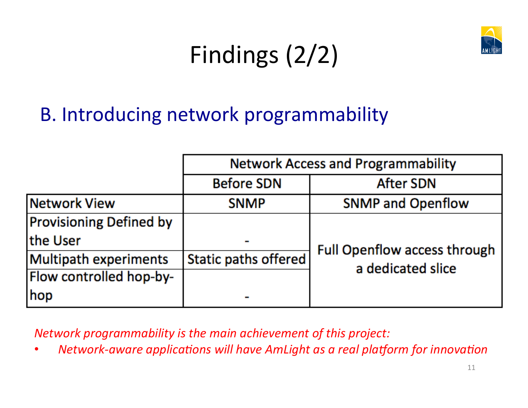

# Findings (2/2)

#### B. Introducing network programmability

|                                | <b>Network Access and Programmability</b> |                                                   |  |
|--------------------------------|-------------------------------------------|---------------------------------------------------|--|
|                                | <b>Before SDN</b>                         | <b>After SDN</b>                                  |  |
| Network View                   | <b>SNMP</b>                               | <b>SNMP and Openflow</b>                          |  |
| <b>Provisioning Defined by</b> |                                           |                                                   |  |
| the User                       |                                           | Full Openflow access through<br>a dedicated slice |  |
| Multipath experiments          | Static paths offered                      |                                                   |  |
| Flow controlled hop-by-        |                                           |                                                   |  |
| hop                            |                                           |                                                   |  |

**Network programmability is the main achievement of this project:** 

*Network-aware applications will have AmLight as a real platform for innovation*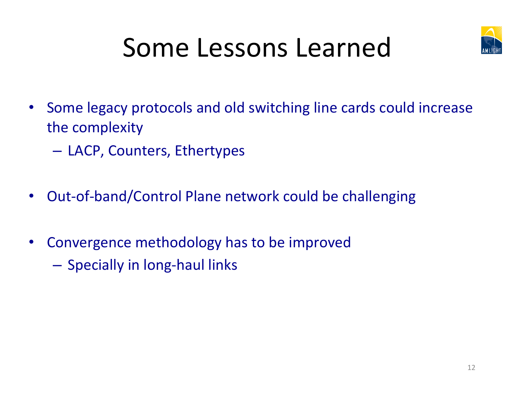

# Some Lessons Learned

- Some legacy protocols and old switching line cards could increase the complexity
	- $-$  LACP, Counters, Ethertypes
- Out-of-band/Control Plane network could be challenging
- Convergence methodology has to be improved
	- Specially in long-haul links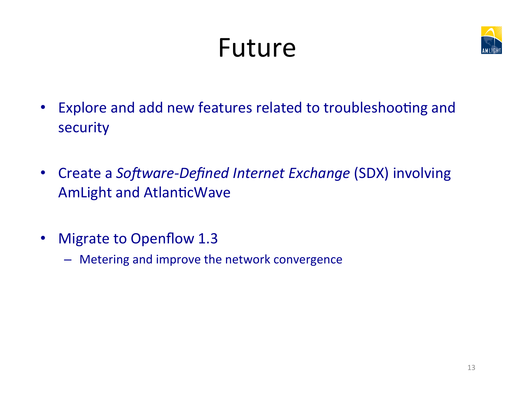# Future



- Explore and add new features related to troubleshooting and security
- Create a *Software-Defined Internet Exchange* (SDX) involving AmLight and AtlanticWave
- Migrate to Openflow 1.3
	- Metering and improve the network convergence